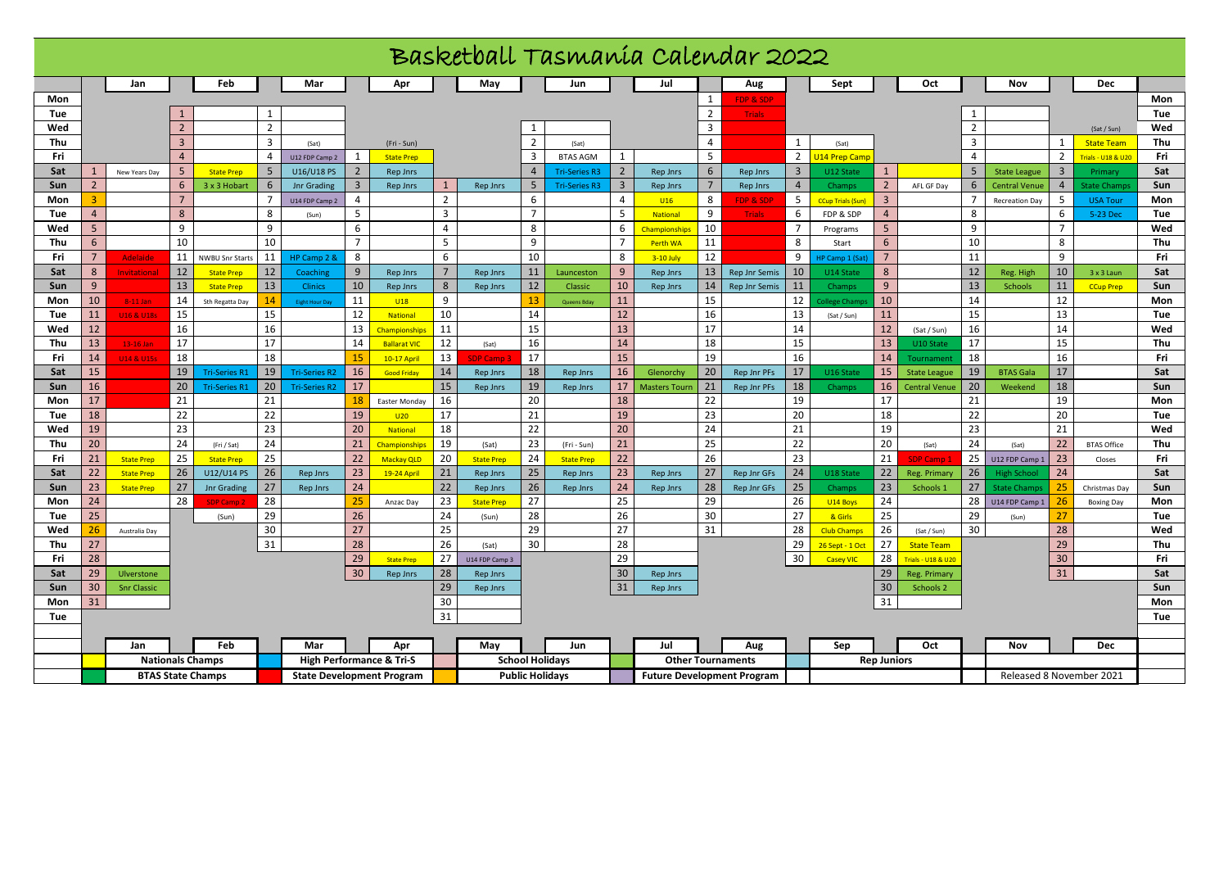| Basketball Tasmanía Calendar 2022 |                          |                       |                |                                  |                                  |                       |                |                                     |                        |                            |                         |                                  |                                   |                      |                |                          |                |                          |                         |                          |                          |                        |                |                                    |            |
|-----------------------------------|--------------------------|-----------------------|----------------|----------------------------------|----------------------------------|-----------------------|----------------|-------------------------------------|------------------------|----------------------------|-------------------------|----------------------------------|-----------------------------------|----------------------|----------------|--------------------------|----------------|--------------------------|-------------------------|--------------------------|--------------------------|------------------------|----------------|------------------------------------|------------|
|                                   |                          | Jan                   |                | Feb                              |                                  | Mar                   |                | Apr                                 |                        | May                        |                         | Jun                              |                                   | Jul                  |                | Aug                      |                | Sept                     |                         | Oct                      |                          | Nov                    |                | <b>Dec</b>                         |            |
| Mon                               |                          |                       |                |                                  |                                  |                       |                |                                     |                        |                            |                         |                                  |                                   |                      | 1              | <b>FDP &amp; SDP</b>     |                |                          |                         |                          |                          |                        |                |                                    | Mon        |
| Tue                               |                          |                       |                |                                  | $\mathbf{1}$                     |                       |                |                                     |                        |                            |                         |                                  |                                   |                      | 2              | <b>Trials</b>            |                |                          |                         |                          |                          |                        |                |                                    | Tue        |
| Wed                               |                          |                       | $\overline{2}$ |                                  | $\overline{2}$                   |                       |                |                                     |                        |                            |                         |                                  |                                   |                      | 3              |                          |                |                          |                         |                          | $\overline{2}$           |                        |                | (Sat / Sun)                        | Wed        |
| Thu                               |                          |                       | $\overline{3}$ |                                  | $\overline{3}$                   | (Sat)                 |                | (Fri - Sun)                         |                        |                            | $\overline{2}$          | (Sat)                            |                                   |                      | $\overline{4}$ |                          | 1              | (Sat)                    |                         |                          | 3                        |                        |                | <b>State Team</b>                  | Thu        |
| Fri                               |                          |                       | $\overline{4}$ |                                  | $\overline{4}$                   | U12 FDP Camp 2        | 1              | <b>State Prep</b>                   |                        |                            | $\overline{\mathbf{3}}$ | <b>BTAS AGM</b>                  | 1                                 |                      | 5              |                          | 2              | <b>U14 Prep Camp</b>     |                         |                          | $\overline{4}$           |                        | $\overline{2}$ | <b>Trials - U18 &amp; U20</b>      | Fri        |
| Sat                               | 1                        | New Years Day         | 5              | <b>State Prep</b>                | 5                                | U16/U18 PS            | $\overline{2}$ | Rep Jnrs                            |                        |                            | $\overline{4}$          | <b>Tri-Series R3</b>             | $\overline{2}$                    | <b>Rep Jnrs</b>      | 6              | Rep Jnrs                 | 3              | U12 State                | <sup>1</sup>            |                          | 5                        | <b>State League</b>    | $\overline{3}$ | Primary                            | Sat        |
| Sun                               | $\overline{2}$           |                       | 6              | 3 x 3 Hobart                     | 6                                | Jnr Grading           | $\overline{3}$ | Rep Jnrs                            |                        | Rep Jnrs                   | 5                       | <b>Tri-Series R3</b>             | $\overline{\mathbf{3}}$           | <b>Rep Jnrs</b>      |                | Rep Jnrs                 | $\overline{4}$ | Champs                   | $\overline{2}$          | AFL GF Day               | 6                        | <b>Central Venue</b>   | $\overline{4}$ | <b>State Champ</b>                 | Sun        |
| Mon                               | $\overline{3}$           |                       | $\overline{7}$ |                                  | $\overline{7}$                   | U14 FDP Camp 2        | 4              |                                     | $\overline{2}$         |                            | 6                       |                                  | $\overline{4}$                    | U16                  | 8              | <b>FDP &amp; SDP</b>     | 5              | <b>CCup Trials (Sun)</b> | $\overline{\mathbf{3}}$ |                          | 7                        | <b>Recreation Day</b>  | 5              | <b>USA Tour</b>                    | Mon        |
| Tue                               | $\overline{4}$           |                       | 8              |                                  | 8                                | (Sun)                 | 5              |                                     | $\overline{3}$         |                            | $\overline{7}$          |                                  | -5                                | <b>National</b>      | 9              | <b>Trials</b>            | 6              | FDP & SDP                | $\overline{4}$          |                          | 8                        |                        | 6              | 5-23 Dec                           | Tue        |
| Wed                               | 5 <sup>5</sup>           |                       | 9              |                                  | 9                                |                       | 6              |                                     | $\overline{4}$         |                            | 8                       |                                  | 6                                 | <b>Championships</b> | 10             |                          | $\overline{7}$ | Programs                 | 5                       |                          | 9                        |                        | $\overline{7}$ |                                    | Wed        |
| Thu                               | 6                        |                       | 10             |                                  | 10                               |                       | $\overline{7}$ |                                     | 5                      |                            | 9                       |                                  | $\overline{7}$                    | <b>Perth WA</b>      | 11             |                          | 8              | Start                    | 6                       |                          | 10                       |                        | 8              |                                    | Thu        |
| Fri                               | $7^{\circ}$              | <b>Adelaide</b>       | 11             | NWBU Snr Start                   | 11                               | HP Camp 2 &           | 8              |                                     | 6                      |                            | 10                      |                                  | 8                                 | 3-10 July            | 12             |                          | 9              | HP Camp 1 (Sat)          | $7^{\circ}$             |                          | 11                       |                        | 9              |                                    | Fri        |
| Sat                               | 8                        | Invitational          | 12             | <b>State Prep</b>                | 12                               | Coaching              | 9              | Rep Jnrs                            | $\overline{7}$         | Rep Jnrs                   | 11                      | Launceston                       | 9                                 | <b>Rep Jnrs</b>      | 13             | <b>Rep Jnr Semis</b>     | 10             | U14 State                | 8                       |                          | 12                       | Reg. High              | 10             | 3 x 3 Laun                         | Sat        |
| Sun                               | 9                        |                       | 13             | <b>State Prep</b>                | 13                               | <b>Clinics</b>        | 10             | Rep Jnrs                            | 8                      | Rep Jnrs                   | 12                      | Classic                          | 10                                | Rep Jnrs             | 14             | <b>Rep Jnr Semis</b>     | 11             | Champs                   | 9                       |                          | 13                       | <b>Schools</b>         | 11             | <b>CCup Prep</b>                   | Sun        |
| Mon                               | 10                       | 8-11 Jan              | 14             | Sth Regatta Day                  | 14                               | <b>Eight Hour Day</b> | 11             | U18                                 | 9                      |                            | 13                      | <b>Queens Bday</b>               | 11                                |                      | 15             |                          | 12             | College Champ            | 10                      |                          | 14                       |                        | 12             |                                    | Mon        |
| Tue                               | 11                       | U16 & U18s            | 15             |                                  | 15                               |                       | 12             | <b>National</b>                     | 10                     |                            | 14                      |                                  | 12                                |                      | 16             |                          | 13             | (Sat / Sun)              | 11                      |                          | 15                       |                        | 13             |                                    | Tue        |
| Wed                               | 12 <sup>2</sup>          |                       | 16             |                                  | 16                               |                       | 13             | <b>Championships</b>                | 11                     |                            | 15                      |                                  | 13                                |                      | 17             |                          | 14             |                          | 12                      | (Sat / Sun)              | 16                       |                        | 14             |                                    | Wed        |
| Thu                               | 13                       | 13-16 Jan             | 17             |                                  | 17                               |                       | 14             | <b>Ballarat VIC</b>                 | 12                     | (Sat)                      | 16                      |                                  | 14                                |                      | 18             |                          | 15             |                          | 13                      | U10 State                | 17                       |                        | 15             |                                    | Thu        |
| Fri                               | 14                       | <b>U14 &amp; U15s</b> | 18             |                                  | 18                               |                       | 15             | 10-17 April                         | 13                     | <b>SDP Camp 3</b>          | 17                      |                                  | 15                                |                      | 19             |                          | 16             |                          | 14                      | Tournament               | 18                       |                        | 16             |                                    | Fri        |
| Sat                               | 15                       |                       | 19             | Tri-Series R1                    | 19                               | <b>Tri-Series R2</b>  | 16             | <b>Good Friday</b>                  | 14                     | Rep Jnrs                   | 18                      | <b>Rep Jnrs</b>                  | 16                                | Glenorchy            | 20             | Rep Jnr PFs              | 17             | U16 State                | 15                      | <b>State League</b>      | 19                       | <b>BTAS Gala</b>       | 17             |                                    | Sat        |
| Sun                               | 16                       |                       | 20             | <b>Tri-Series R1</b>             | 20                               | <b>Tri-Series R2</b>  | 17             |                                     | 15                     | Rep Jnrs                   | 19                      | Rep Jnrs                         | 17                                | <b>Masters Tourn</b> | 21<br>22       | Rep Jnr PFs              | 18             | <b>Champs</b>            | 16                      | <b>Central Venue</b>     | 20                       | Weekend                | 18             |                                    | Sun        |
| Mon                               | 17                       |                       | 21             |                                  | 21                               |                       | 18             | Easter Monday                       | 16                     |                            | 20                      |                                  | 18                                |                      |                |                          | 19             |                          | 17                      |                          | 21                       |                        | 19             |                                    | Mon        |
| Tue                               | 18                       |                       | 22             |                                  | 22                               |                       | 19             | U20                                 | 17                     |                            | 21                      |                                  | 19                                |                      | 23             |                          | 20             |                          | 18                      |                          | 22                       |                        | 20             |                                    | Tue        |
| Wed<br>Thu                        | 19<br>20                 |                       | 23<br>24       |                                  | 23<br>24                         |                       | 20<br>21       | <b>National</b>                     | 18<br>19               |                            | 22<br>23                |                                  | 20<br>21                          |                      | 24<br>25       |                          | 21<br>22       |                          | 19<br>20                |                          | 23<br>24                 |                        | 21<br>22       |                                    | Wed<br>Thu |
| Fri                               | 21                       | <b>State Prep</b>     | 25             | (Fri / Sat)<br><b>State Prep</b> | 25                               |                       | 22             | Championships<br>Mackay QLD         | 20                     | (Sat)<br><b>State Prep</b> | 24                      | (Fri - Sun)<br><b>State Prep</b> | 22                                |                      | 26             |                          | 23             |                          | 21                      | (Sat)<br><b>SDP Camp</b> | 25                       | (Sat)<br>U12 FDP Camp: | 23             | <b>BTAS Office</b><br>Closes       | Fri        |
| Sat                               | 22                       | <b>State Prep</b>     | 26             | U12/U14 PS                       | 26                               | <b>Rep Jnrs</b>       | 23             |                                     | 21                     | Rep Jnrs                   | 25                      | <b>Rep Jnrs</b>                  | 23                                | <b>Rep Jnrs</b>      | 27             | Rep Jnr GFs              | 24             | U18 State                | 22                      | Reg. Primary             | 26                       | <b>High School</b>     | 24             |                                    | Sat        |
| Sun                               | 23                       | <b>State Prep</b>     | 27             | <b>Jnr Grading</b>               | 27                               | <b>Rep Jnrs</b>       | 24             | 19-24 April                         | 22                     | Rep Jnrs                   | 26                      | Rep Jnrs                         | 24                                | <b>Rep Jnrs</b>      | 28             | Rep Jnr GFs              | 25             | Champs                   | 23                      | Schools 1                | 27                       | <b>State Champ</b>     | 25             |                                    | Sun        |
| Mon                               | 24                       |                       | 28             | <b>SDP Camp</b>                  | 28                               |                       | 25             | Anzac Day                           | 23                     | <b>State Prep</b>          | 27                      |                                  | 25                                |                      | 29             |                          | 26             | U14 Boys                 | 24                      |                          | 28                       | U14 FDP Camp 1         | 26             | Christmas Day<br><b>Boxing Day</b> | Mon        |
| Tue                               | 25                       |                       |                | (Sun)                            | 29                               |                       | 26             |                                     | 24                     | (Sun)                      | 28                      |                                  | 26                                |                      | 30             |                          | 27             | & Girls                  | 25                      |                          | 29                       | (Sun)                  | 27             |                                    | Tue        |
| Wed                               | 26                       | Australia Day         |                |                                  | 30                               |                       | 27             |                                     | 25                     |                            | 29                      |                                  | 27                                |                      | 31             |                          | 28             | <b>Club Champs</b>       | 26                      | (Sat / Sun)              | 30                       |                        | 28             |                                    | Wed        |
| Thu                               | 27                       |                       |                |                                  | 31                               |                       | 28             |                                     | 26                     | (Sat)                      | 30                      |                                  | 28                                |                      |                |                          | 29             | 26 Sept - 1 Oct          | 27                      | <b>State Team</b>        |                          |                        | 29             |                                    | Thu        |
| Fri                               | 28                       |                       |                |                                  |                                  |                       | 29             | <b>State Prep</b>                   | 27                     | U14 FDP Camp 3             |                         |                                  | 29                                |                      |                |                          | 30             | <b>Casey VIC</b>         | 28                      | Frials - U18 & U20       |                          |                        | 30             |                                    | Fri        |
| Sat                               | 29                       | Ulverstone            |                |                                  |                                  |                       | 30             | <b>Rep Jnrs</b>                     | 28                     | Rep Jnrs                   |                         |                                  | 30                                | <b>Rep Jnrs</b>      |                |                          |                |                          | 29                      | Reg. Primary             |                          |                        | 31             |                                    | Sat        |
| Sun                               | 30                       | <b>Snr Classic</b>    |                |                                  |                                  |                       |                |                                     | 29                     | Rep Jnrs                   |                         |                                  | 31                                | <b>Rep Jnrs</b>      |                |                          |                |                          | 30                      | Schools 2                |                          |                        |                |                                    | Sun        |
| Mon                               | 31                       |                       |                |                                  |                                  |                       |                |                                     | 30                     |                            |                         |                                  |                                   |                      |                |                          |                |                          | 31                      |                          |                          |                        |                |                                    | Mon        |
| Tue                               |                          |                       |                |                                  |                                  |                       |                |                                     | 31                     |                            |                         |                                  |                                   |                      |                |                          |                |                          |                         |                          |                          |                        |                |                                    | Tue        |
|                                   |                          |                       |                |                                  |                                  |                       |                |                                     |                        |                            |                         |                                  |                                   |                      |                |                          |                |                          |                         |                          |                          |                        |                |                                    |            |
|                                   |                          | Jan                   |                | Feb                              |                                  | Mar                   |                | Apr                                 |                        | May                        |                         | Jun                              |                                   | Jul                  |                | Aug                      |                | Sep                      |                         | Oct                      |                          | Nov                    |                | <b>Dec</b>                         |            |
|                                   |                          |                       |                | <b>Nationals Champs</b>          |                                  |                       |                | <b>High Performance &amp; Tri-S</b> |                        |                            |                         | <b>School Holidays</b>           |                                   |                      |                | <b>Other Tournaments</b> |                |                          | <b>Rep Juniors</b>      |                          |                          |                        |                |                                    |            |
|                                   | <b>BTAS State Champs</b> |                       |                |                                  | <b>State Development Program</b> |                       |                |                                     | <b>Public Holidays</b> |                            |                         |                                  | <b>Future Development Program</b> |                      |                |                          |                |                          |                         |                          | Released 8 November 2021 |                        |                |                                    |            |